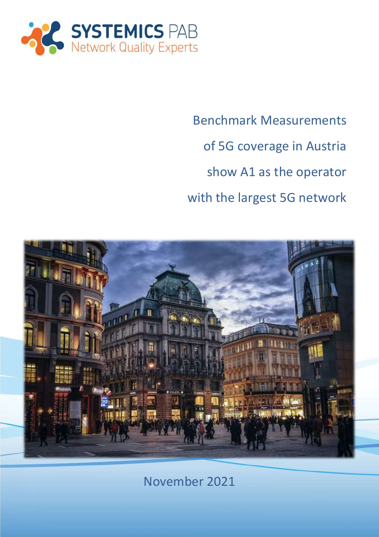

Benchmark Measurements of 5G coverage in Austria show A1 as the operator with the largest 5G network



November 2021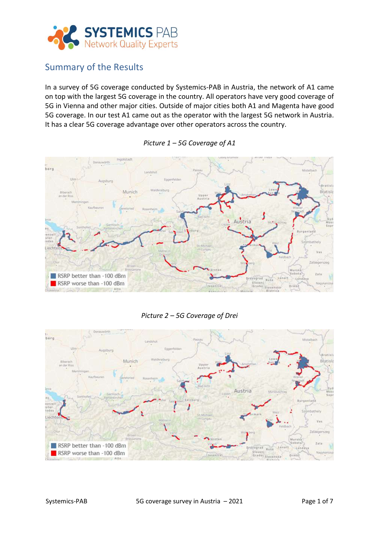

# Summary of the Results

In a survey of 5G coverage conducted by Systemics-PAB in Austria, the network of A1 came on top with the largest 5G coverage in the country. All operators have very good coverage of 5G in Vienna and other major cities. Outside of major cities both A1 and Magenta have good 5G coverage. In our test A1 came out as the operator with the largest 5G network in Austria. It has a clear 5G coverage advantage over other operators across the country.



*Picture 1 – 5G Coverage of A1*

### *Picture 2 – 5G Coverage of Drei*

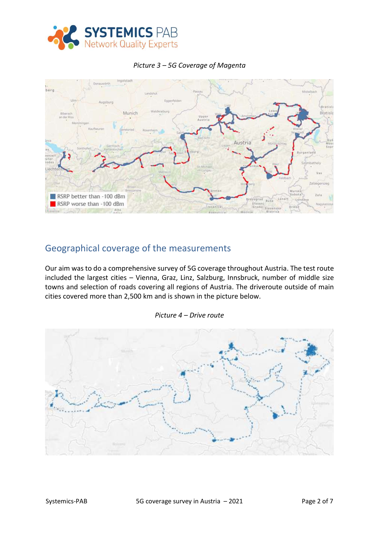



#### *Picture 3 – 5G Coverage of Magenta*

## Geographical coverage of the measurements

Our aim was to do a comprehensive survey of 5G coverage throughout Austria. The test route included the largest cities – Vienna, Graz, Linz, Salzburg, Innsbruck, number of middle size towns and selection of roads covering all regions of Austria. The driveroute outside of main cities covered more than 2,500 km and is shown in the picture below.



#### *Picture 4 – Drive route*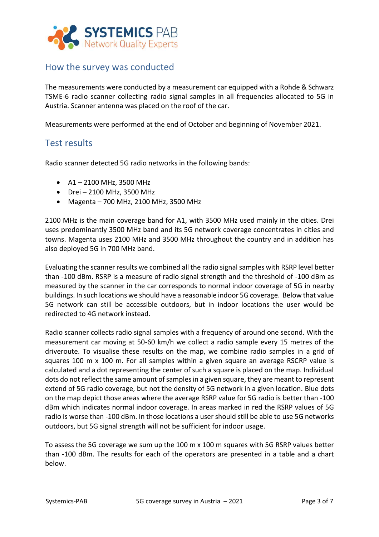

# How the survey was conducted

The measurements were conducted by a measurement car equipped with a Rohde & Schwarz TSME-6 radio scanner collecting radio signal samples in all frequencies allocated to 5G in Austria. Scanner antenna was placed on the roof of the car.

Measurements were performed at the end of October and beginning of November 2021.

### Test results

Radio scanner detected 5G radio networks in the following bands:

- A1 2100 MHz, 3500 MHz
- Drei 2100 MHz, 3500 MHz
- Magenta 700 MHz, 2100 MHz, 3500 MHz

2100 MHz is the main coverage band for A1, with 3500 MHz used mainly in the cities. Drei uses predominantly 3500 MHz band and its 5G network coverage concentrates in cities and towns. Magenta uses 2100 MHz and 3500 MHz throughout the country and in addition has also deployed 5G in 700 MHz band.

Evaluating the scanner results we combined all the radio signal samples with RSRP level better than -100 dBm. RSRP is a measure of radio signal strength and the threshold of -100 dBm as measured by the scanner in the car corresponds to normal indoor coverage of 5G in nearby buildings. In such locations we should have a reasonable indoor 5G coverage. Below that value 5G network can still be accessible outdoors, but in indoor locations the user would be redirected to 4G network instead.

Radio scanner collects radio signal samples with a frequency of around one second. With the measurement car moving at 50-60 km/h we collect a radio sample every 15 metres of the driveroute. To visualise these results on the map, we combine radio samples in a grid of squares 100 m  $\times$  100 m. For all samples within a given square an average RSCRP value is calculated and a dot representing the center of such a square is placed on the map. Individual dots do not reflect the same amount of samples in a given square, they are meant to represent extend of 5G radio coverage, but not the density of 5G network in a given location. Blue dots on the map depict those areas where the average RSRP value for 5G radio is better than -100 dBm which indicates normal indoor coverage. In areas marked in red the RSRP values of 5G radio is worse than -100 dBm. In those locations a user should still be able to use 5G networks outdoors, but 5G signal strength will not be sufficient for indoor usage.

To assess the 5G coverage we sum up the 100 m x 100 m squares with 5G RSRP values better than -100 dBm. The results for each of the operators are presented in a table and a chart below.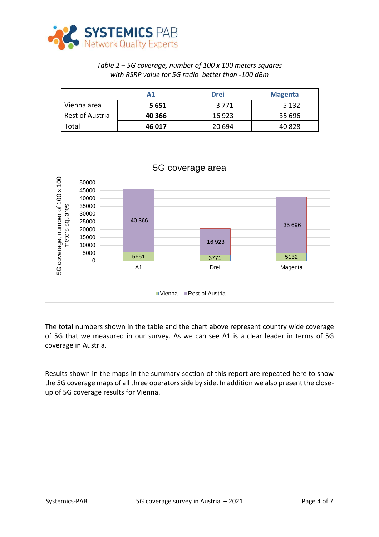

### *Table 2 – 5G coverage, number of 100 x 100 meters squares with RSRP value for 5G radio better than -100 dBm*

|                 | Α1     | <b>Drei</b> | <b>Magenta</b> |
|-----------------|--------|-------------|----------------|
| Vienna area     | 5651   | 3 7 7 1     | 5 1 3 2        |
| Rest of Austria | 40 366 | 16 923      | 35 696         |
| Total           | 46 017 | 20 694      | 40 828         |



The total numbers shown in the table and the chart above represent country wide coverage of 5G that we measured in our survey. As we can see A1 is a clear leader in terms of 5G coverage in Austria.

Results shown in the maps in the summary section of this report are repeated here to show the 5G coverage maps of all three operators side by side. In addition we also present the closeup of 5G coverage results for Vienna.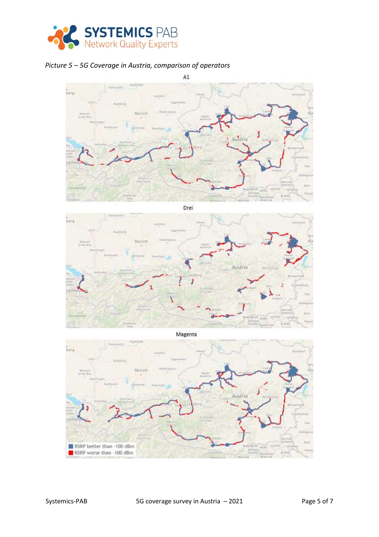

### *Picture 5 – 5G Coverage in Austria, comparison of operators*

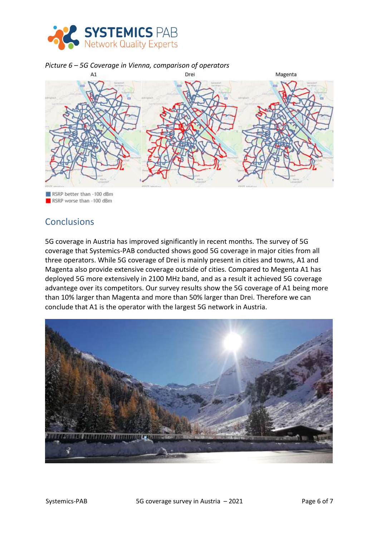

#### *Picture 6 – 5G Coverage in Vienna, comparison of operators*



RSRP better than -100 dBm RSRP worse than -100 dBm

# Conclusions

5G coverage in Austria has improved significantly in recent months. The survey of 5G coverage that Systemics-PAB conducted shows good 5G coverage in major cities from all three operators. While 5G coverage of Drei is mainly present in cities and towns, A1 and Magenta also provide extensive coverage outside of cities. Compared to Megenta A1 has deployed 5G more extensively in 2100 MHz band, and as a result it achieved 5G coverage advantege over its competitors. Our survey results show the 5G coverage of A1 being more than 10% larger than Magenta and more than 50% larger than Drei. Therefore we can conclude that A1 is the operator with the largest 5G network in Austria.